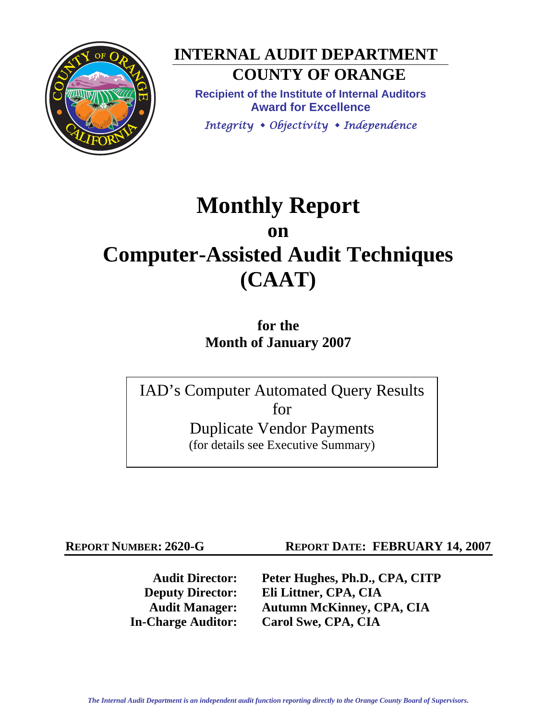

**INTERNAL AUDIT DEPARTMENT COUNTY OF ORANGE** 

**Recipient of the Institute of Internal Auditors Award for Excellence**  *Integrity Objectivity Independence*

# **Monthly Report on Computer-Assisted Audit Techniques (CAAT)**

**for the Month of January 2007** 

IAD's Computer Automated Query Results for Duplicate Vendor Payments (for details see Executive Summary)

**REPORT NUMBER: 2620-G REPORT DATE: FEBRUARY 14, 2007** 

**Audit Director: Peter Hughes, Ph.D., CPA, CITP Deputy Director: Eli Littner, CPA, CIA Audit Manager: Autumn McKinney, CPA, CIA In-Charge Auditor: Carol Swe, CPA, CIA**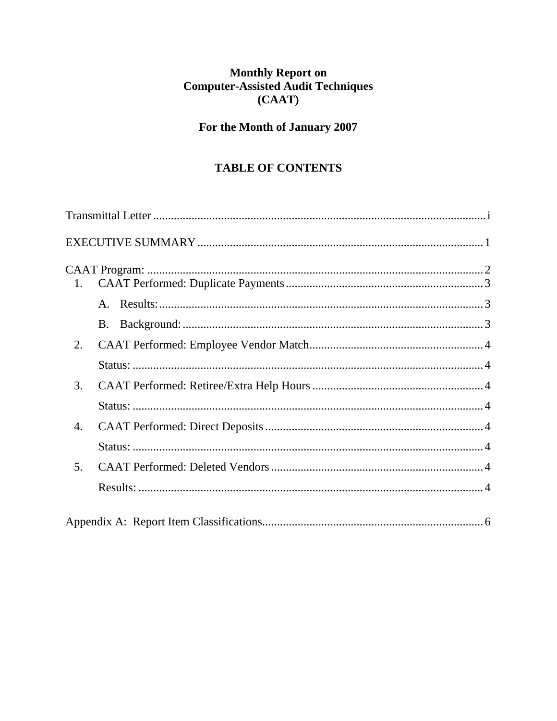# Monthly Report on<br>Computer-Assisted Audit Techniques  $(CAAT)$

# For the Month of January 2007

# **TABLE OF CONTENTS**

| 1.             |  |
|----------------|--|
|                |  |
|                |  |
| 2.             |  |
|                |  |
| 3.             |  |
|                |  |
| 4.             |  |
|                |  |
| 5 <sub>1</sub> |  |
|                |  |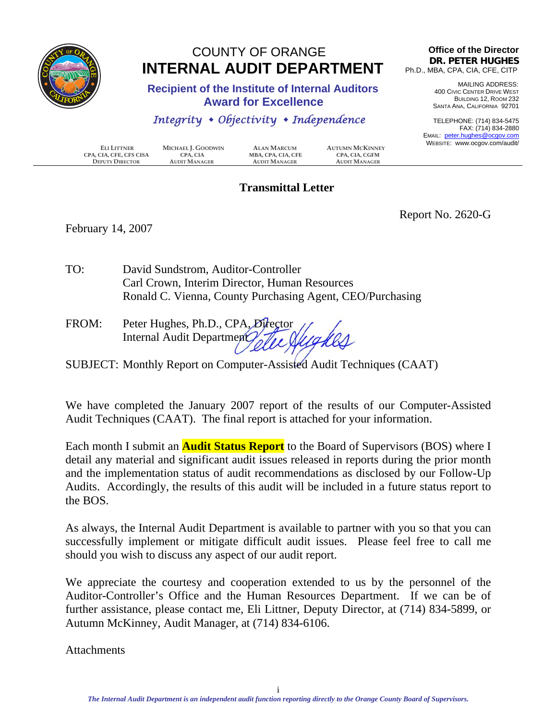<span id="page-2-0"></span>

# COUNTY OF ORANGE  **INTERNAL AUDIT DEPARTMENT**

 **Recipient of the Institute of Internal Auditors Award for Excellence** 

#### *Integrity Objectivity Independence*

**CPA, CIA, CFE, CFS CISA CPA, CIA**<br>**DEPUTY DIRECTOR AUDIT MANAGER DEPUTY DIRECTOR AUDIT MANAGER AUDIT MANAGER AUDIT MANAGER**

**ELI LITTNER MICHAEL J. GOODWIN ALAN MARCUM AUTUMN MCKINNEY**

# **Transmittal Letter**

**Office of the Director DR. PETER HUGHES** Ph.D., MBA, CPA, CIA, CFE, CITP

> MAILING ADDRESS: 400 CIVIC CENTER DRIVE WEST BUILDING 12, ROOM 232 SANTA ANA, CALIFORNIA 92701

TELEPHONE: (714) 834-5475 FAX: (714) 834-2880 EMAIL: peter.hughes@ocgov.com WEBSITE: www.ocgov.com/audit/

February 14, 2007

Report No. 2620-G

- TO: David Sundstrom, Auditor-Controller Carl Crown, Interim Director, Human Resources Ronald C. Vienna, County Purchasing Agent, CEO/Purchasing
- FROM: Peter Hughes, Ph.D., CPA, Director Internal Audit Department
- SUBJECT: Monthly Report on Computer-Assisted Audit Techniques (CAAT)

We have completed the January 2007 report of the results of our Computer-Assisted Audit Techniques (CAAT). The final report is attached for your information.

Each month I submit an **Audit Status Report** to the Board of Supervisors (BOS) where I detail any material and significant audit issues released in reports during the prior month and the implementation status of audit recommendations as disclosed by our Follow-Up Audits. Accordingly, the results of this audit will be included in a future status report to the BOS.

As always, the Internal Audit Department is available to partner with you so that you can successfully implement or mitigate difficult audit issues. Please feel free to call me should you wish to discuss any aspect of our audit report.

We appreciate the courtesy and cooperation extended to us by the personnel of the Auditor-Controller's Office and the Human Resources Department. If we can be of further assistance, please contact me, Eli Littner, Deputy Director, at (714) 834-5899, or Autumn McKinney, Audit Manager, at (714) 834-6106.

**Attachments**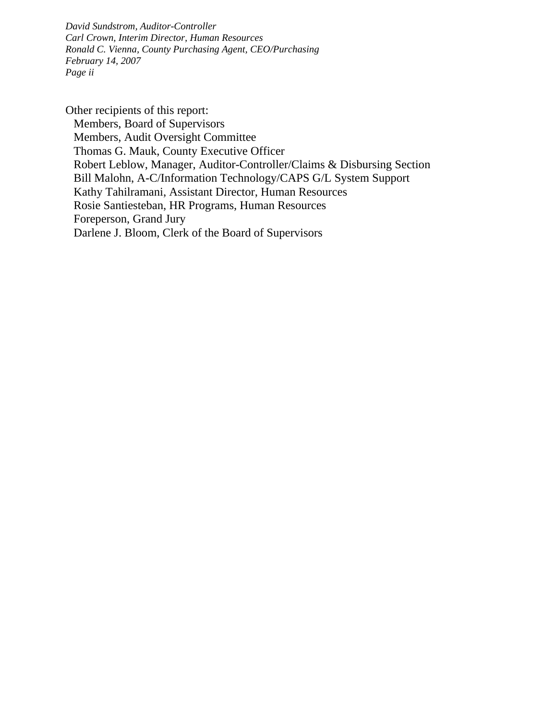*David Sundstrom, Auditor-Controller Carl Crown, Interim Director, Human Resources Ronald C. Vienna, County Purchasing Agent, CEO/Purchasing February 14, 2007 Page ii* 

Other recipients of this report: Members, Board of Supervisors Members, Audit Oversight Committee Thomas G. Mauk, County Executive Officer Robert Leblow, Manager, Auditor-Controller/Claims & Disbursing Section Bill Malohn, A-C/Information Technology/CAPS G/L System Support Kathy Tahilramani, Assistant Director, Human Resources Rosie Santiesteban, HR Programs, Human Resources Foreperson, Grand Jury Darlene J. Bloom, Clerk of the Board of Supervisors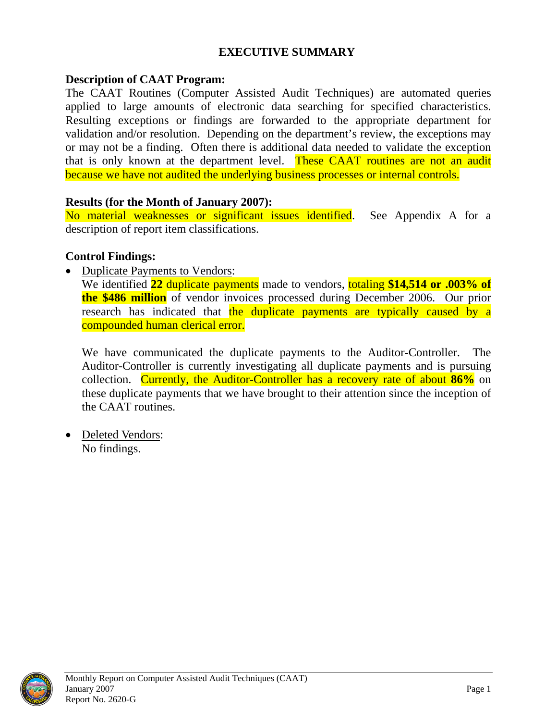#### **EXECUTIVE SUMMARY**

#### <span id="page-4-0"></span>**Description of CAAT Program:**

The CAAT Routines (Computer Assisted Audit Techniques) are automated queries applied to large amounts of electronic data searching for specified characteristics. Resulting exceptions or findings are forwarded to the appropriate department for validation and/or resolution. Depending on the department's review, the exceptions may or may not be a finding. Often there is additional data needed to validate the exception that is only known at the department level. These CAAT routines are not an audit because we have not audited the underlying business processes or internal controls.

#### **Results (for the Month of January 2007):**

No material weaknesses or significant issues identified. See Appendix A for a description of report item classifications.

#### **Control Findings:**

• Duplicate Payments to Vendors:

We identified **22** duplicate payments made to vendors, totaling **\$14,514 or .003% of the \$486 million** of vendor invoices processed during December 2006. Our prior research has indicated that the duplicate payments are typically caused by a compounded human clerical error.

We have communicated the duplicate payments to the Auditor-Controller. The Auditor-Controller is currently investigating all duplicate payments and is pursuing collection. Currently, the Auditor-Controller has a recovery rate of about **86%** on these duplicate payments that we have brought to their attention since the inception of the CAAT routines.

• Deleted Vendors: No findings.

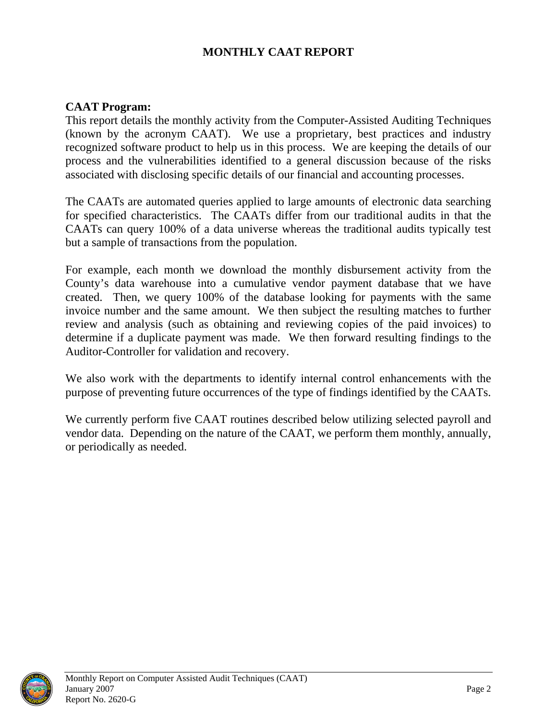### **MONTHLY CAAT REPORT**

#### <span id="page-5-0"></span>**CAAT Program:**

This report details the monthly activity from the Computer-Assisted Auditing Techniques (known by the acronym CAAT). We use a proprietary, best practices and industry recognized software product to help us in this process. We are keeping the details of our process and the vulnerabilities identified to a general discussion because of the risks associated with disclosing specific details of our financial and accounting processes.

The CAATs are automated queries applied to large amounts of electronic data searching for specified characteristics. The CAATs differ from our traditional audits in that the CAATs can query 100% of a data universe whereas the traditional audits typically test but a sample of transactions from the population.

For example, each month we download the monthly disbursement activity from the County's data warehouse into a cumulative vendor payment database that we have created. Then, we query 100% of the database looking for payments with the same invoice number and the same amount. We then subject the resulting matches to further review and analysis (such as obtaining and reviewing copies of the paid invoices) to determine if a duplicate payment was made. We then forward resulting findings to the Auditor-Controller for validation and recovery.

We also work with the departments to identify internal control enhancements with the purpose of preventing future occurrences of the type of findings identified by the CAATs.

We currently perform five CAAT routines described below utilizing selected payroll and vendor data. Depending on the nature of the CAAT, we perform them monthly, annually, or periodically as needed.

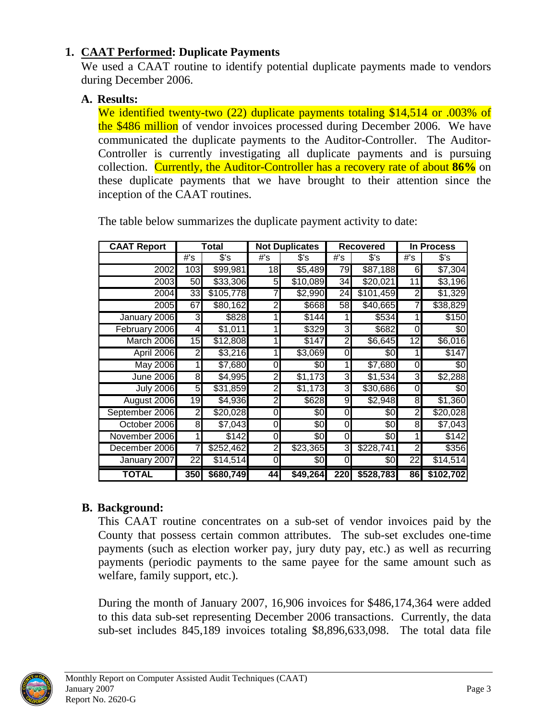# <span id="page-6-0"></span>**1. CAAT Performed: Duplicate Payments**

We used a CAAT routine to identify potential duplicate payments made to vendors during December 2006.

#### **A. Results:**

We identified twenty-two (22) duplicate payments totaling \$14,514 or .003% of the \$486 million of vendor invoices processed during December 2006. We have communicated the duplicate payments to the Auditor-Controller. The Auditor-Controller is currently investigating all duplicate payments and is pursuing collection. Currently, the Auditor-Controller has a recovery rate of about **86%** on these duplicate payments that we have brought to their attention since the inception of the CAAT routines.

| <b>CAAT Report</b> | Total |                      | <b>Not Duplicates</b> |          | <b>Recovered</b> |                  | In Process |           |
|--------------------|-------|----------------------|-----------------------|----------|------------------|------------------|------------|-----------|
|                    | #'s   | $s$ 's               | #'s                   | \$'s     | #'s              | $S$ 's           | #'s        | $s$ 's    |
| 2002               | 103   | $\overline{$99,981}$ | 18                    | \$5,489  | 79               | $\sqrt{$87,188}$ | $6 \mid$   | \$7,304   |
| 2003               | 50    | \$33,306             | 5                     | \$10,089 | 34               | \$20,021         | 11         | \$3,196   |
| 2004               | 33    | \$105,778            |                       | \$2,990  | 24               | \$101,459        | 2          | \$1,329   |
| 2005               | 67    | \$80,162             | $\overline{2}$        | \$668    | 58               | \$40,665         |            | \$38,829  |
| January 2006       | 3     | \$828                |                       | \$144    |                  | \$534            |            | \$150     |
| February 2006      | 4     | \$1,011              |                       | \$329    | 3                | \$682            | 0          | \$0       |
| March 2006         | 15    | \$12,808             |                       | \$147    | $\overline{2}$   | \$6,645          | 12         | \$6,016   |
| April 2006         | 2     | \$3,216              |                       | \$3,069  | 0                | \$0              |            | \$147     |
| <b>May 2006</b>    |       | \$7,680              | 0                     | \$0      |                  | \$7,680          | 0          | \$0       |
| <b>June 2006</b>   | 8     | \$4,995              | 2                     | \$1,173  | ω                | \$1,534          | ω          | \$2,288   |
| <b>July 2006</b>   | 5     | \$31,859             | 2                     | \$1,173  | 3                | \$30,686         | 0          | \$0       |
| August 2006        | 19    | \$4,936              | 2                     | \$628    | 9                | \$2,948          | 8          | \$1,360   |
| September 2006     | 2     | \$20,028             | 0                     | \$0      | 0                | \$0              | 2          | \$20,028  |
| October 2006       | 8     | \$7,043              | 0                     | \$0      | 0                | \$0              | 8          | \$7,043   |
| November 2006      |       | \$142                | 0                     | \$0      | 0                | \$0              |            | \$142     |
| December 2006      |       | \$252,462            | 2                     | \$23,365 | 3                | \$228,741        | 2          | \$356     |
| January 2007       | 22    | \$14,514             | 0                     | \$0      | 0                | SOI              | 22         | \$14,514  |
| <b>TOTAL</b>       | 350   | \$680,749            | 44                    | \$49,264 | <b>220</b>       | \$528,783        | 86         | \$102,702 |

The table below summarizes the duplicate payment activity to date:

# **B. Background:**

This CAAT routine concentrates on a sub-set of vendor invoices paid by the County that possess certain common attributes. The sub-set excludes one-time payments (such as election worker pay, jury duty pay, etc.) as well as recurring payments (periodic payments to the same payee for the same amount such as welfare, family support, etc.).

During the month of January 2007, 16,906 invoices for \$486,174,364 were added to this data sub-set representing December 2006 transactions. Currently, the data sub-set includes 845,189 invoices totaling \$8,896,633,098. The total data file

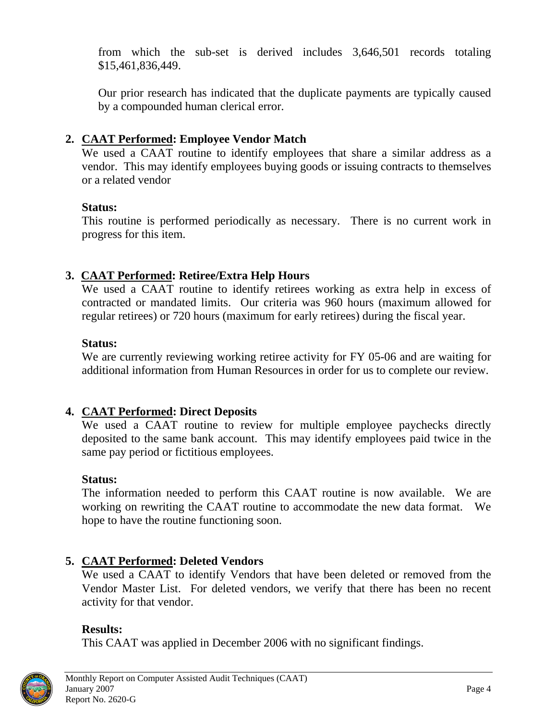<span id="page-7-0"></span>from which the sub-set is derived includes 3,646,501 records totaling \$15,461,836,449.

Our prior research has indicated that the duplicate payments are typically caused by a compounded human clerical error.

## **2. CAAT Performed: Employee Vendor Match**

We used a CAAT routine to identify employees that share a similar address as a vendor. This may identify employees buying goods or issuing contracts to themselves or a related vendor

#### **Status:**

This routine is performed periodically as necessary. There is no current work in progress for this item.

# **3. CAAT Performed: Retiree/Extra Help Hours**

We used a CAAT routine to identify retirees working as extra help in excess of contracted or mandated limits. Our criteria was 960 hours (maximum allowed for regular retirees) or 720 hours (maximum for early retirees) during the fiscal year.

#### **Status:**

We are currently reviewing working retiree activity for FY 05-06 and are waiting for additional information from Human Resources in order for us to complete our review.

### **4. CAAT Performed: Direct Deposits**

We used a CAAT routine to review for multiple employee paychecks directly deposited to the same bank account. This may identify employees paid twice in the same pay period or fictitious employees.

### **Status:**

The information needed to perform this CAAT routine is now available. We are working on rewriting the CAAT routine to accommodate the new data format. We hope to have the routine functioning soon.

### **5. CAAT Performed: Deleted Vendors**

We used a CAAT to identify Vendors that have been deleted or removed from the Vendor Master List. For deleted vendors, we verify that there has been no recent activity for that vendor.

### **Results:**

This CAAT was applied in December 2006 with no significant findings.

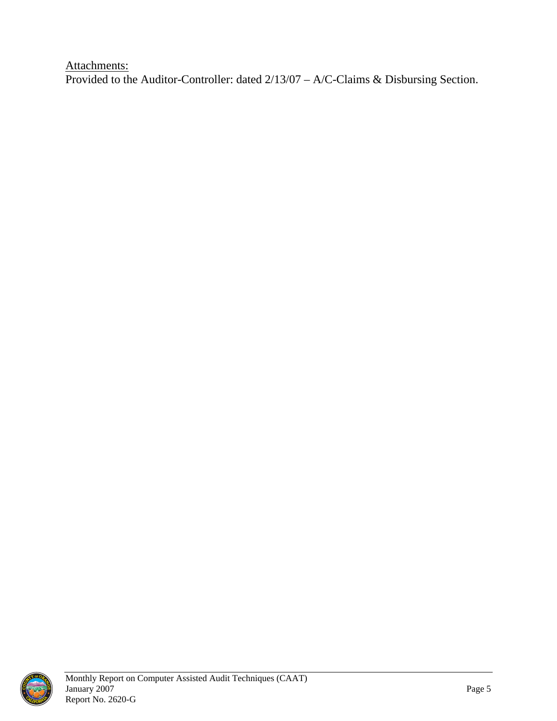Attachments: Provided to the Auditor-Controller: dated 2/13/07 – A/C-Claims & Disbursing Section.